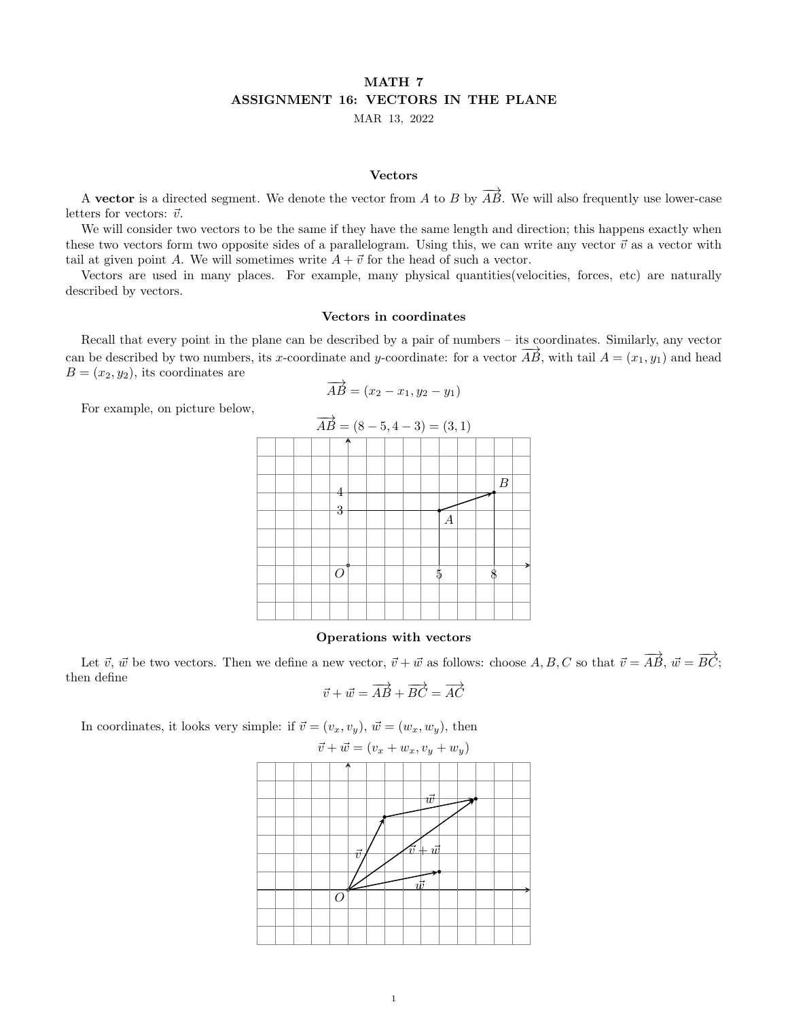# MATH 7 ASSIGNMENT 16: VECTORS IN THE PLANE

MAR 13, 2022

#### Vectors

A vector is a directed segment. We denote the vector from A to B by  $\overrightarrow{AB}$ . We will also frequently use lower-case letters for vectors:  $\vec{v}$ .

We will consider two vectors to be the same if they have the same length and direction; this happens exactly when these two vectors form two opposite sides of a parallelogram. Using this, we can write any vector  $\vec{v}$  as a vector with tail at given point A. We will sometimes write  $A + \vec{v}$  for the head of such a vector.

Vectors are used in many places. For example, many physical quantities(velocities, forces, etc) are naturally described by vectors.

## Vectors in coordinates

Recall that every point in the plane can be described by a pair of numbers – its coordinates. Similarly, any vector can be described by two numbers, its x-coordinate and y-coordinate: for a vector  $\overrightarrow{AB}$ , with tail  $A = (x_1, y_1)$  and head  $B = (x_2, y_2)$ , its coordinates are

$$
\overrightarrow{AB} = (x_2 - x_1, y_2 - y_1)
$$

For example, on picture below,

| $\overrightarrow{AB} = (8-5, 4-3) = (3,1)$ |  |  |  |          |  |  |  |  |   |   |  |  |                  |  |
|--------------------------------------------|--|--|--|----------|--|--|--|--|---|---|--|--|------------------|--|
|                                            |  |  |  | А        |  |  |  |  |   |   |  |  |                  |  |
|                                            |  |  |  |          |  |  |  |  |   |   |  |  |                  |  |
|                                            |  |  |  | 4        |  |  |  |  |   |   |  |  | $\boldsymbol{B}$ |  |
|                                            |  |  |  | 3        |  |  |  |  |   | А |  |  |                  |  |
|                                            |  |  |  |          |  |  |  |  |   |   |  |  |                  |  |
|                                            |  |  |  | $\Omega$ |  |  |  |  | 5 |   |  |  |                  |  |
|                                            |  |  |  |          |  |  |  |  |   |   |  |  |                  |  |
|                                            |  |  |  |          |  |  |  |  |   |   |  |  |                  |  |

## Operations with vectors

Let  $\vec{v}$ ,  $\vec{w}$  be two vectors. Then we define a new vector,  $\vec{v} + \vec{w}$  as follows: choose  $A, B, C$  so that  $\vec{v} = \overrightarrow{AB}$ ,  $\vec{w} = \overrightarrow{BC}$ ; then define

$$
\vec{v} + \vec{w} = \overrightarrow{AB} + \overrightarrow{BC} = \overrightarrow{AC}
$$

In coordinates, it looks very simple: if  $\vec{v} = (v_x, v_y), \vec{w} = (w_x, w_y)$ , then

$$
\vec{v} + \vec{w} = (v_x + w_x, v_y + w_y)
$$